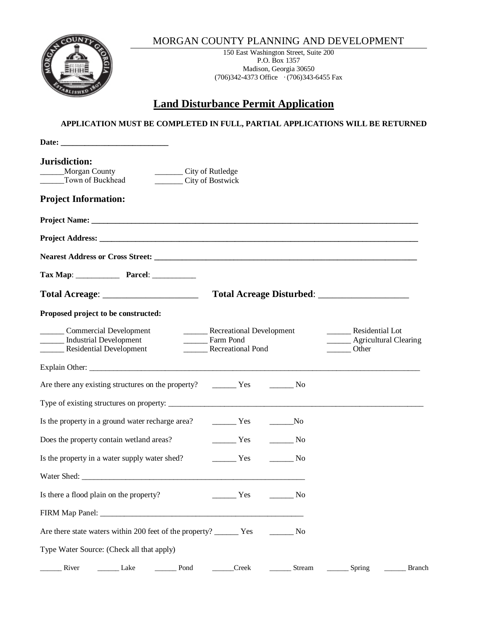



150 East Washington Street, Suite 200 P.O. Box 1357 Madison, Georgia 30650 (706)342-4373 Office · (706)343-6455 Fax

## **Land Disturbance Permit Application**

## **APPLICATION MUST BE COMPLETED IN FULL, PARTIAL APPLICATIONS WILL BE RETURNED**

| Date: the contract of the contract of the contract of the contract of the contract of the contract of the contract of the contract of the contract of the contract of the contract of the contract of the contract of the cont |                                                                             |                                                                              |
|--------------------------------------------------------------------------------------------------------------------------------------------------------------------------------------------------------------------------------|-----------------------------------------------------------------------------|------------------------------------------------------------------------------|
| Jurisdiction:<br>___________ City of Rutledge<br>Morgan County<br>Town of Buckhead<br>City of Bostwick                                                                                                                         |                                                                             |                                                                              |
| <b>Project Information:</b>                                                                                                                                                                                                    |                                                                             |                                                                              |
|                                                                                                                                                                                                                                |                                                                             |                                                                              |
|                                                                                                                                                                                                                                |                                                                             |                                                                              |
|                                                                                                                                                                                                                                |                                                                             |                                                                              |
|                                                                                                                                                                                                                                |                                                                             |                                                                              |
|                                                                                                                                                                                                                                |                                                                             |                                                                              |
| Proposed project to be constructed:                                                                                                                                                                                            |                                                                             |                                                                              |
| Commercial Development<br>Industrial Development<br>Residential Development                                                                                                                                                    | <b>Example 2</b> Recreational Development<br>Farm Pond<br>Recreational Pond | __________ Residential Lot<br>_______ Agricultural Clearing<br>_______ Other |
|                                                                                                                                                                                                                                |                                                                             |                                                                              |
|                                                                                                                                                                                                                                |                                                                             |                                                                              |
|                                                                                                                                                                                                                                |                                                                             |                                                                              |
| Is the property in a ground water recharge area? The Ves                                                                                                                                                                       | $\sqrt{N}$                                                                  |                                                                              |
| Does the property contain wetland areas?                                                                                                                                                                                       | $\frac{1}{1}$ Yes<br>$\frac{1}{\sqrt{1-\frac{1}{2}}}\text{No}$              |                                                                              |
| Is the property in a water supply water shed?                                                                                                                                                                                  | $\frac{1}{1}$ Yes<br>No.                                                    |                                                                              |
|                                                                                                                                                                                                                                |                                                                             |                                                                              |
| Is there a flood plain on the property?                                                                                                                                                                                        | Yes<br>$\frac{1}{\sqrt{1-\frac{1}{2}}}\text{No}$                            |                                                                              |
|                                                                                                                                                                                                                                |                                                                             |                                                                              |
|                                                                                                                                                                                                                                |                                                                             |                                                                              |
| Type Water Source: (Check all that apply)                                                                                                                                                                                      |                                                                             |                                                                              |
| River<br>Lake<br>Pond                                                                                                                                                                                                          | Creek<br>Stream                                                             | Spring<br><b>Branch</b>                                                      |